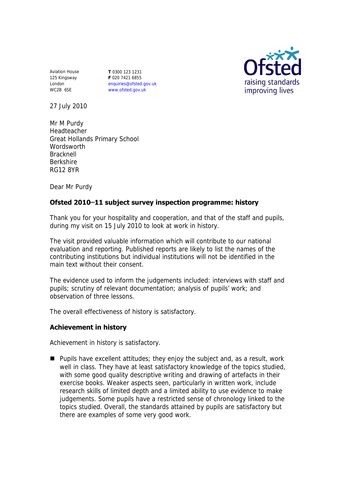Aviation House 125 Kingsway London WC2B 6SE

**T** 0300 123 1231 **F** 020 7421 6855 enquiries@ofsted.gov.uk www.ofsted.gov.uk



27 July 2010

Mr M Purdy Headteacher Great Hollands Primary School **Wordsworth** Bracknell Berkshire RG12 8YR

Dear Mr Purdy

# **Ofsted 2010 ̶11 subject survey inspection programme: history**

Thank you for your hospitality and cooperation, and that of the staff and pupils, during my visit on 15 July 2010 to look at work in history.

The visit provided valuable information which will contribute to our national evaluation and reporting. Published reports are likely to list the names of the contributing institutions but individual institutions will not be identified in the main text without their consent.

The evidence used to inform the judgements included: interviews with staff and pupils; scrutiny of relevant documentation; analysis of pupils' work; and observation of three lessons.

The overall effectiveness of history is satisfactory.

# **Achievement in history**

Achievement in history is satisfactory.

**Pupils have excellent attitudes; they enjoy the subject and, as a result, work** well in class. They have at least satisfactory knowledge of the topics studied, with some good quality descriptive writing and drawing of artefacts in their exercise books. Weaker aspects seen, particularly in written work, include research skills of limited depth and a limited ability to use evidence to make judgements. Some pupils have a restricted sense of chronology linked to the topics studied. Overall, the standards attained by pupils are satisfactory but there are examples of some very good work.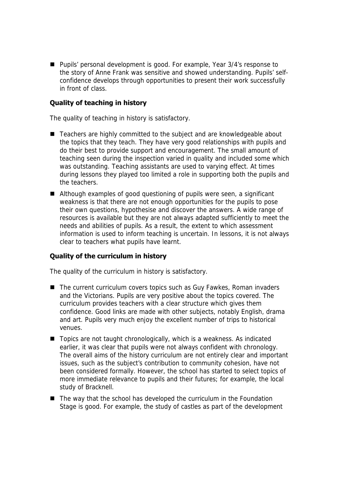■ Pupils' personal development is good. For example, Year 3/4's response to the story of Anne Frank was sensitive and showed understanding. Pupils' selfconfidence develops through opportunities to present their work successfully in front of class.

#### **Quality of teaching in history**

The quality of teaching in history is satisfactory.

- Teachers are highly committed to the subject and are knowledgeable about the topics that they teach. They have very good relationships with pupils and do their best to provide support and encouragement. The small amount of teaching seen during the inspection varied in quality and included some which was outstanding. Teaching assistants are used to varying effect. At times during lessons they played too limited a role in supporting both the pupils and the teachers.
- Although examples of good questioning of pupils were seen, a significant weakness is that there are not enough opportunities for the pupils to pose their own questions, hypothesise and discover the answers. A wide range of resources is available but they are not always adapted sufficiently to meet the needs and abilities of pupils. As a result, the extent to which assessment information is used to inform teaching is uncertain. In lessons, it is not always clear to teachers what pupils have learnt.

# **Quality of the curriculum in history**

The quality of the curriculum in history is satisfactory.

- The current curriculum covers topics such as Guy Fawkes, Roman invaders and the Victorians. Pupils are very positive about the topics covered. The curriculum provides teachers with a clear structure which gives them confidence. Good links are made with other subjects, notably English, drama and art. Pupils very much enjoy the excellent number of trips to historical venues.
- Topics are not taught chronologically, which is a weakness. As indicated earlier, it was clear that pupils were not always confident with chronology. The overall aims of the history curriculum are not entirely clear and important issues, such as the subject's contribution to community cohesion, have not been considered formally. However, the school has started to select topics of more immediate relevance to pupils and their futures; for example, the local study of Bracknell.
- $\blacksquare$  The way that the school has developed the curriculum in the Foundation Stage is good. For example, the study of castles as part of the development